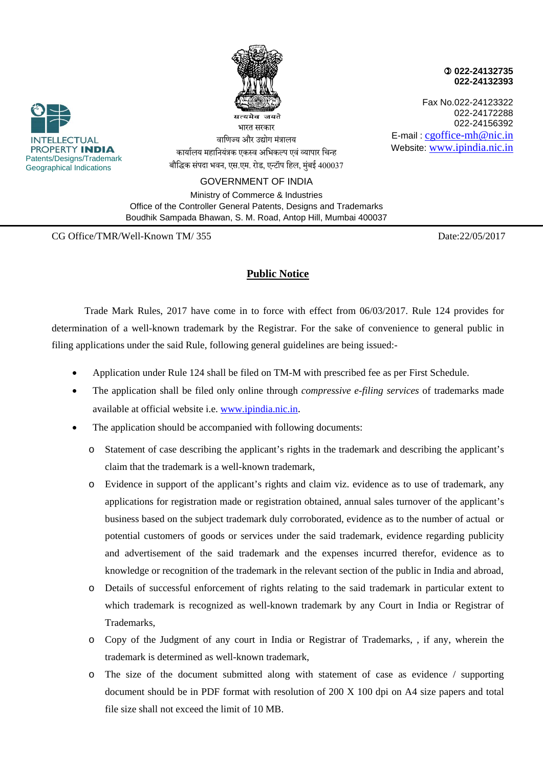

 **022-24132735 022-24132393**

Fax No.022-24123322 022-24172288 022-24156392 E-mail : cgoffice-mh@nic.in Website: www.ipindia.nic.in



कार्यालय महानियंत्रक एकस्व अभिकल्प एवं व्यापार चिन्ह बौद्धिक संपदा भवन, एस.एम. रोड, एन्टॉप हिल, मुंबई 400037

वाणिज्य और उद्योग मंत्रा<mark>लय</mark>

GOVERNMENT OF INDIA

Ministry of Commerce & Industries Office of the Controller General Patents, Designs and Trademarks Boudhik Sampada Bhawan, S. M. Road, Antop Hill, Mumbai 400037

CG Office/TMR/Well-Known TM/ 355 Date:22/05/2017

## **Public Notice**

Trade Mark Rules, 2017 have come in to force with effect from 06/03/2017. Rule 124 provides for determination of a well-known trademark by the Registrar. For the sake of convenience to general public in filing applications under the said Rule, following general guidelines are being issued:-

- Application under Rule 124 shall be filed on TM-M with prescribed fee as per First Schedule.
- The application shall be filed only online through *compressive e-filing services* of trademarks made available at official website i.e. www.ipindia.nic.in.
- The application should be accompanied with following documents:
	- o Statement of case describing the applicant's rights in the trademark and describing the applicant's claim that the trademark is a well-known trademark,
	- o Evidence in support of the applicant's rights and claim viz. evidence as to use of trademark, any applications for registration made or registration obtained, annual sales turnover of the applicant's business based on the subject trademark duly corroborated, evidence as to the number of actual or potential customers of goods or services under the said trademark, evidence regarding publicity and advertisement of the said trademark and the expenses incurred therefor, evidence as to knowledge or recognition of the trademark in the relevant section of the public in India and abroad,
	- o Details of successful enforcement of rights relating to the said trademark in particular extent to which trademark is recognized as well-known trademark by any Court in India or Registrar of Trademarks,
	- o Copy of the Judgment of any court in India or Registrar of Trademarks, , if any, wherein the trademark is determined as well-known trademark,
	- o The size of the document submitted along with statement of case as evidence / supporting document should be in PDF format with resolution of 200 X 100 dpi on A4 size papers and total file size shall not exceed the limit of 10 MB.